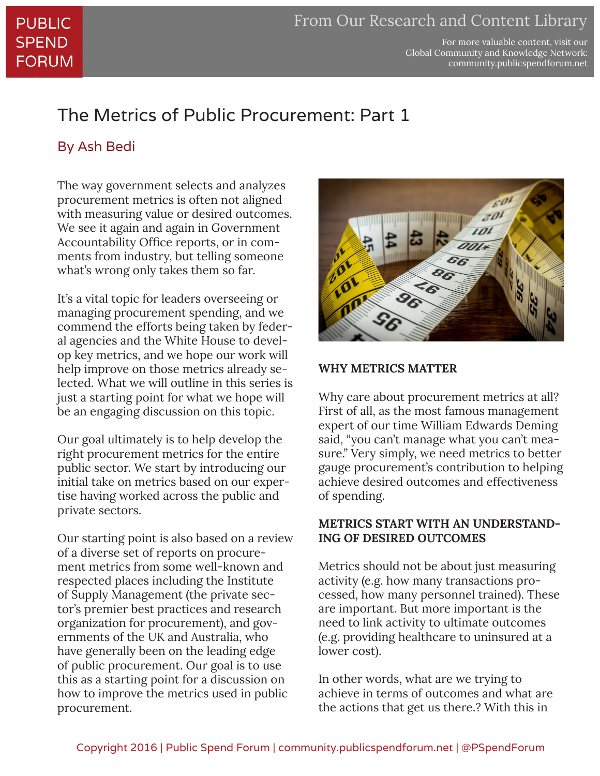For more valuable content, visit our Global Community and Knowledge Network: community.publicspendforum.net

## The Metrics of Public Procurement: Part 1

### By Ash Bedi

The way government selects and analyzes procurement metrics is often not aligned with measuring value or desired outcomes. We see it again and again in Government Accountability Office reports, or in comments from industry, but telling someone what's wrong only takes them so far.

It's a vital topic for leaders overseeing or managing procurement spending, and we commend the efforts being taken by federal agencies and the White House to develop key metrics, and we hope our work will help improve on those metrics already selected. What we will outline in this series is just a starting point for what we hope will be an engaging discussion on this topic.

Our goal ultimately is to help develop the right procurement metrics for the entire public sector. We start by introducing our initial take on metrics based on our expertise having worked across the public and private sectors.

Our starting point is also based on a review of a diverse set of reports on procurement metrics from some well-known and respected places including the Institute of Supply Management (the private sector's premier best practices and research organization for procurement), and governments of the UK and Australia, who have generally been on the leading edge of public procurement. Our goal is to use this as a starting point for a discussion on how to improve the metrics used in public procurement.



#### **WHY METRICS MATTER**

Why care about procurement metrics at all? First of all, as the most famous management expert of our time William Edwards Deming said, "you can't manage what you can't measure." Very simply, we need metrics to better gauge procurement's contribution to helping achieve desired outcomes and effectiveness of spending.

#### **METRICS START WITH AN UNDERSTAND-ING OF DESIRED OUTCOMES**

Metrics should not be about just measuring activity (e.g. how many transactions processed, how many personnel trained). These are important. But more important is the need to link activity to ultimate outcomes (e.g. providing healthcare to uninsured at a lower cost).

In other words, what are we trying to achieve in terms of outcomes and what are the actions that get us there.? With this in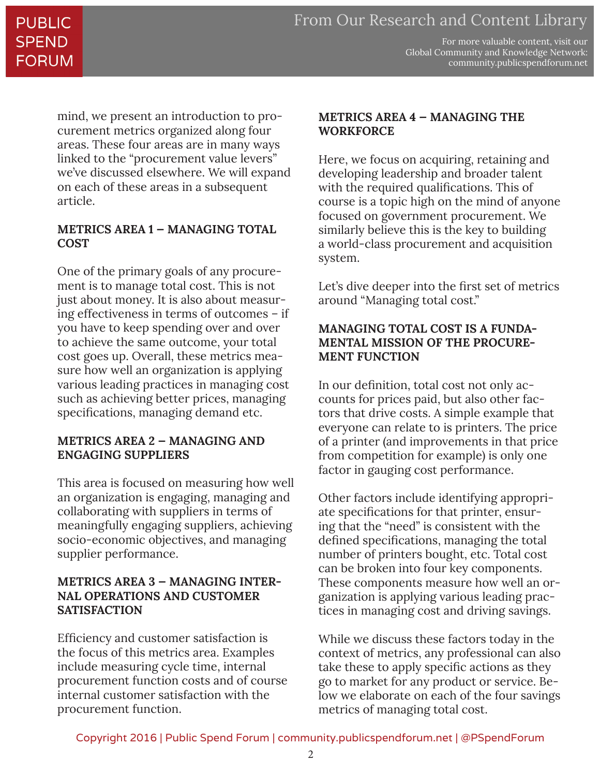## **PUBLIC SPEND FORUM**

For more valuable content, visit our Global Community and Knowledge Network: community.publicspendforum.net

mind, we present an introduction to procurement metrics organized along four areas. These four areas are in many ways linked to the "procurement value levers" we've discussed elsewhere. We will expand on each of these areas in a subsequent article.

#### **METRICS AREA 1 — MANAGING TOTAL COST**

One of the primary goals of any procurement is to manage total cost. This is not just about money. It is also about measuring effectiveness in terms of outcomes – if you have to keep spending over and over to achieve the same outcome, your total cost goes up. Overall, these metrics measure how well an organization is applying various leading practices in managing cost such as achieving better prices, managing specifications, managing demand etc.

#### **METRICS AREA 2 — MANAGING AND ENGAGING SUPPLIERS**

This area is focused on measuring how well an organization is engaging, managing and collaborating with suppliers in terms of meaningfully engaging suppliers, achieving socio-economic objectives, and managing supplier performance.

#### **METRICS AREA 3 — MANAGING INTER-NAL OPERATIONS AND CUSTOMER SATISFACTION**

Efficiency and customer satisfaction is the focus of this metrics area. Examples include measuring cycle time, internal procurement function costs and of course internal customer satisfaction with the procurement function.

#### **METRICS AREA 4 — MANAGING THE WORKFORCE**

Here, we focus on acquiring, retaining and developing leadership and broader talent with the required qualifications. This of course is a topic high on the mind of anyone focused on government procurement. We similarly believe this is the key to building a world-class procurement and acquisition system.

Let's dive deeper into the first set of metrics around "Managing total cost."

#### **MANAGING TOTAL COST IS A FUNDA-MENTAL MISSION OF THE PROCURE-MENT FUNCTION**

In our definition, total cost not only accounts for prices paid, but also other factors that drive costs. A simple example that everyone can relate to is printers. The price of a printer (and improvements in that price from competition for example) is only one factor in gauging cost performance.

Other factors include identifying appropriate specifications for that printer, ensuring that the "need" is consistent with the defined specifications, managing the total number of printers bought, etc. Total cost can be broken into four key components. These components measure how well an organization is applying various leading practices in managing cost and driving savings.

While we discuss these factors today in the context of metrics, any professional can also take these to apply specific actions as they go to market for any product or service. Below we elaborate on each of the four savings metrics of managing total cost.

Copyright 2016 | Public Spend Forum | community.publicspendforum.net | @PSpendForum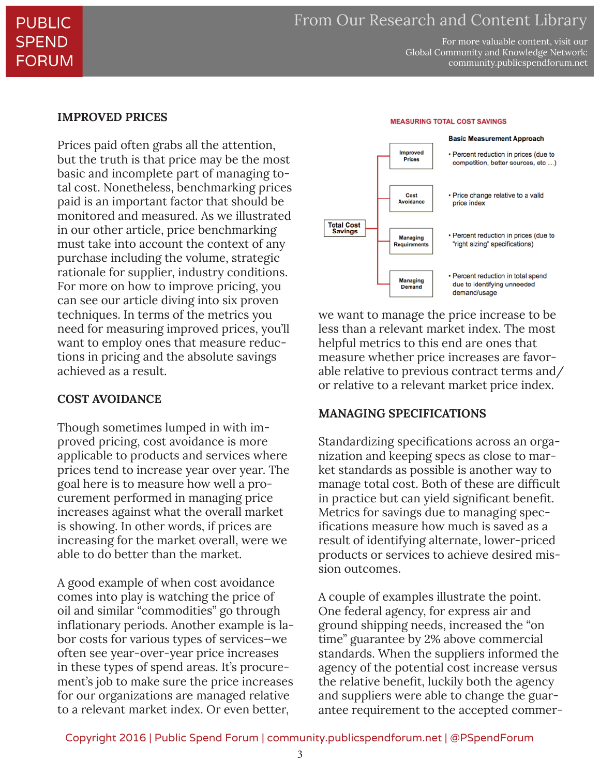For more valuable content, visit our Global Community and Knowledge Network: community.publicspendforum.net

#### **IMPROVED PRICES**

Prices paid often grabs all the attention, but the truth is that price may be the most basic and incomplete part of managing total cost. Nonetheless, benchmarking prices paid is an important factor that should be monitored and measured. As we illustrated in our other article, price benchmarking must take into account the context of any purchase including the volume, strategic rationale for supplier, industry conditions. For more on how to improve pricing, you can see our article diving into six proven techniques. In terms of the metrics you need for measuring improved prices, you'll want to employ ones that measure reductions in pricing and the absolute savings achieved as a result.

#### **COST AVOIDANCE**

Though sometimes lumped in with improved pricing, cost avoidance is more applicable to products and services where prices tend to increase year over year. The goal here is to measure how well a procurement performed in managing price increases against what the overall market is showing. In other words, if prices are increasing for the market overall, were we able to do better than the market.

A good example of when cost avoidance comes into play is watching the price of oil and similar "commodities" go through inflationary periods. Another example is labor costs for various types of services—we often see year-over-year price increases in these types of spend areas. It's procurement's job to make sure the price increases for our organizations are managed relative to a relevant market index. Or even better,



we want to manage the price increase to be less than a relevant market index. The most helpful metrics to this end are ones that measure whether price increases are favorable relative to previous contract terms and/ or relative to a relevant market price index.

#### **MANAGING SPECIFICATIONS**

Standardizing specifications across an organization and keeping specs as close to market standards as possible is another way to manage total cost. Both of these are difficult in practice but can yield significant benefit. Metrics for savings due to managing specifications measure how much is saved as a result of identifying alternate, lower-priced products or services to achieve desired mission outcomes.

A couple of examples illustrate the point. One federal agency, for express air and ground shipping needs, increased the "on time" guarantee by 2% above commercial standards. When the suppliers informed the agency of the potential cost increase versus the relative benefit, luckily both the agency and suppliers were able to change the guarantee requirement to the accepted commer-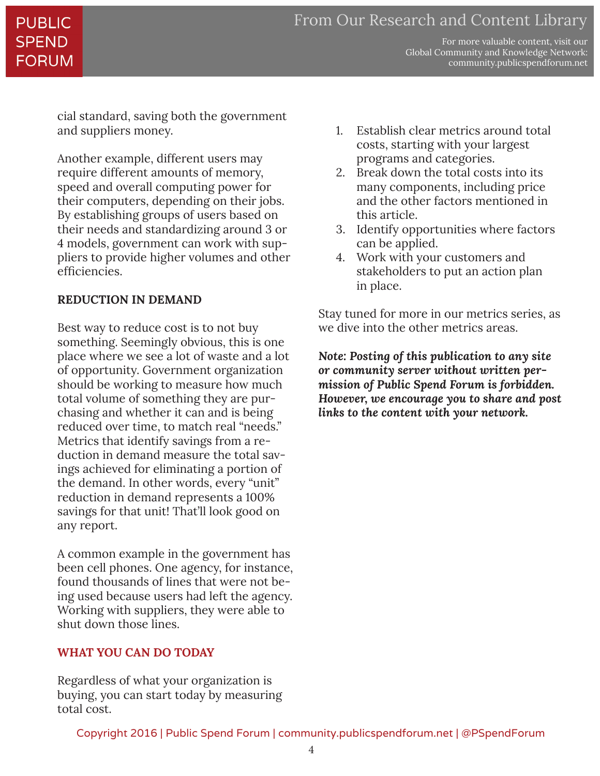## PUBLIC **SPEND** FORUM

For more valuable content, visit our Global Community and Knowledge Network: community.publicspendforum.net

cial standard, saving both the government and suppliers money.

Another example, different users may require different amounts of memory, speed and overall computing power for their computers, depending on their jobs. By establishing groups of users based on their needs and standardizing around 3 or 4 models, government can work with suppliers to provide higher volumes and other efficiencies.

#### **REDUCTION IN DEMAND**

Best way to reduce cost is to not buy something. Seemingly obvious, this is one place where we see a lot of waste and a lot of opportunity. Government organization should be working to measure how much total volume of something they are purchasing and whether it can and is being reduced over time, to match real "needs." Metrics that identify savings from a reduction in demand measure the total savings achieved for eliminating a portion of the demand. In other words, every "unit" reduction in demand represents a 100% savings for that unit! That'll look good on any report.

A common example in the government has been cell phones. One agency, for instance, found thousands of lines that were not being used because users had left the agency. Working with suppliers, they were able to shut down those lines.

#### **WHAT YOU CAN DO TODAY**

Regardless of what your organization is buying, you can start today by measuring total cost.

- 1. Establish clear metrics around total costs, starting with your largest programs and categories.
- 2. Break down the total costs into its many components, including price and the other factors mentioned in this article.
- 3. Identify opportunities where factors can be applied.
- 4. Work with your customers and stakeholders to put an action plan in place.

Stay tuned for more in our metrics series, as we dive into the other metrics areas.

*Note: Posting of this publication to any site or community server without written permission of Public Spend Forum is forbidden. However, we encourage you to share and post links to the content with your network.*

Copyright 2016 | Public Spend Forum | community.publicspendforum.net | @PSpendForum